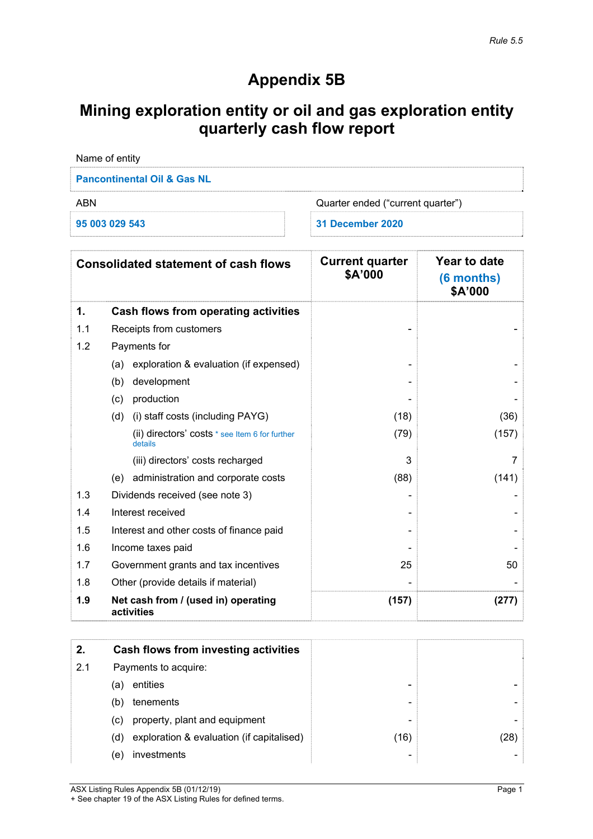## **Appendix 5B**

# **Mining exploration entity or oil and gas exploration entity quarterly cash flow report**

| Name of entity                         |                                   |
|----------------------------------------|-----------------------------------|
| <b>Pancontinental Oil &amp; Gas NL</b> |                                   |
| ABN                                    | Quarter ended ("current quarter") |
| 95 003 029 543                         | 31 December 2020                  |

|     | <b>Consolidated statement of cash flows</b>               | <b>Current quarter</b><br>\$A'000 | Year to date<br>(6 months)<br>\$A'000 |
|-----|-----------------------------------------------------------|-----------------------------------|---------------------------------------|
| 1.  | Cash flows from operating activities                      |                                   |                                       |
| 1.1 | Receipts from customers                                   |                                   |                                       |
| 1.2 | Payments for                                              |                                   |                                       |
|     | exploration & evaluation (if expensed)<br>(a)             |                                   |                                       |
|     | development<br>(b)                                        |                                   |                                       |
|     | production<br>(c)                                         |                                   |                                       |
|     | (i) staff costs (including PAYG)<br>(d)                   | (18)                              | (36)                                  |
|     | (ii) directors' costs * see Item 6 for further<br>details | (79)                              | (157)                                 |
|     | (iii) directors' costs recharged                          | 3                                 | 7                                     |
|     | administration and corporate costs<br>(e)                 | (88)                              | (141)                                 |
| 1.3 | Dividends received (see note 3)                           |                                   |                                       |
| 1.4 | Interest received                                         |                                   |                                       |
| 1.5 | Interest and other costs of finance paid                  |                                   |                                       |
| 1.6 | Income taxes paid                                         |                                   |                                       |
| 1.7 | Government grants and tax incentives                      | 25                                | 50                                    |
| 1.8 | Other (provide details if material)                       |                                   |                                       |
| 1.9 | Net cash from / (used in) operating<br>activities         | (157)                             | (277)                                 |

| 2.  | Cash flows from investing activities             |      |      |
|-----|--------------------------------------------------|------|------|
| 2.1 | Payments to acquire:                             |      |      |
|     | entities<br>(a)                                  |      |      |
|     | tenements<br>(b)                                 | -    |      |
|     | property, plant and equipment<br>(C)             |      |      |
|     | exploration & evaluation (if capitalised)<br>(d) | (16) | (28) |
|     | investments<br>(e)                               | -    |      |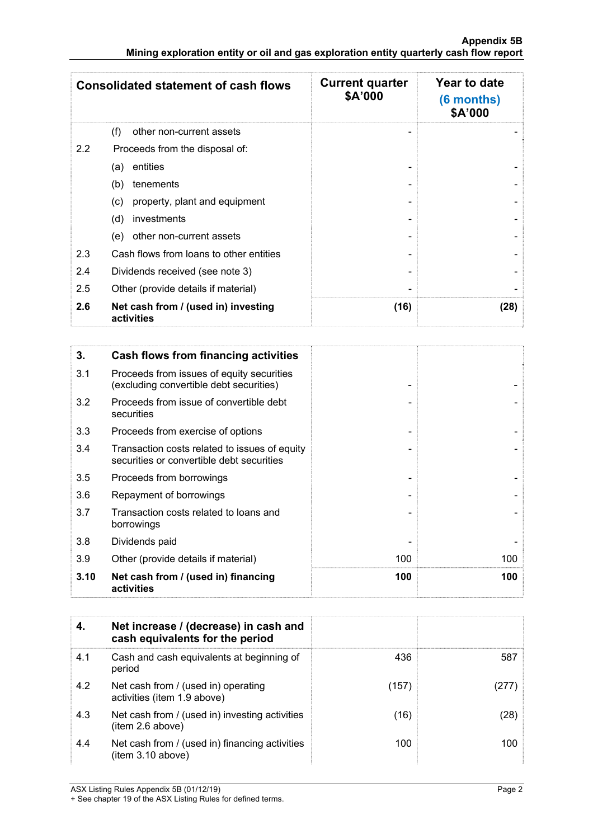|               | <b>Consolidated statement of cash flows</b>       | <b>Current quarter</b><br>\$A'000 | Year to date<br>(6 months)<br>\$A'000 |
|---------------|---------------------------------------------------|-----------------------------------|---------------------------------------|
|               | (f)<br>other non-current assets                   |                                   |                                       |
| $2.2^{\circ}$ | Proceeds from the disposal of:                    |                                   |                                       |
|               | entities<br>(a)                                   |                                   |                                       |
|               | (b)<br>tenements                                  |                                   |                                       |
|               | property, plant and equipment<br>(c)              |                                   |                                       |
|               | investments<br>(d)                                |                                   |                                       |
|               | other non-current assets<br>(e)                   |                                   |                                       |
| 2.3           | Cash flows from loans to other entities           |                                   |                                       |
| 2.4           | Dividends received (see note 3)                   |                                   |                                       |
| 2.5           | Other (provide details if material)               |                                   |                                       |
| 2.6           | Net cash from / (used in) investing<br>activities | (16)                              | (28)                                  |

| 3.   | Cash flows from financing activities                                                       |     |     |
|------|--------------------------------------------------------------------------------------------|-----|-----|
| 3.1  | Proceeds from issues of equity securities<br>(excluding convertible debt securities)       |     |     |
| 3.2  | Proceeds from issue of convertible debt<br>securities                                      |     |     |
| 3.3  | Proceeds from exercise of options                                                          |     |     |
| 3.4  | Transaction costs related to issues of equity<br>securities or convertible debt securities |     |     |
| 3.5  | Proceeds from borrowings                                                                   |     |     |
| 3.6  | Repayment of borrowings                                                                    |     |     |
| 3.7  | Transaction costs related to loans and<br>borrowings                                       |     |     |
| 3.8  | Dividends paid                                                                             |     |     |
| 3.9  | Other (provide details if material)                                                        | 100 | 100 |
| 3.10 | Net cash from / (used in) financing<br>activities                                          | 100 | 100 |

| 4.  | Net increase / (decrease) in cash and<br>cash equivalents for the period |       |       |
|-----|--------------------------------------------------------------------------|-------|-------|
| 4.1 | Cash and cash equivalents at beginning of<br>period                      | 436   | 587   |
| 4.2 | Net cash from / (used in) operating<br>activities (item 1.9 above)       | (157) | (277) |
| 4.3 | Net cash from / (used in) investing activities<br>item 2.6 above)        | (16)  | (28)  |
| 4.4 | Net cash from / (used in) financing activities<br>item 3.10 above)       | 100   | 100   |

ASX Listing Rules Appendix 5B (01/12/19) Page 2

<sup>+</sup> See chapter 19 of the ASX Listing Rules for defined terms.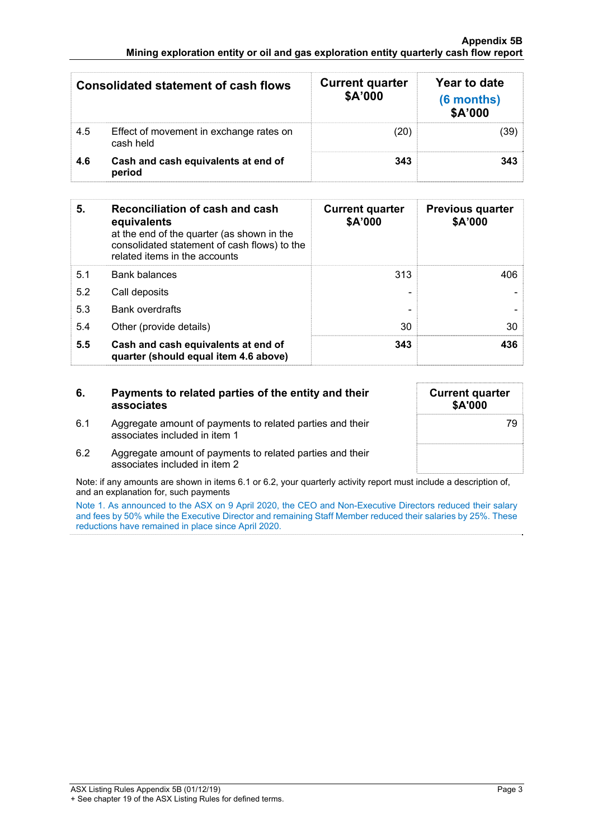#### **Appendix 5B Mining exploration entity or oil and gas exploration entity quarterly cash flow report**

|     | Consolidated statement of cash flows                 | <b>Current quarter</b><br>\$A'000 | Year to date<br>(6 months)<br>\$A'000 |
|-----|------------------------------------------------------|-----------------------------------|---------------------------------------|
| 4.5 | Effect of movement in exchange rates on<br>cash held | (20)                              | (39)                                  |
| 4.6 | Cash and cash equivalents at end of<br>period        | 343                               | 343                                   |

| 5.  | Reconciliation of cash and cash<br>equivalents<br>at the end of the quarter (as shown in the<br>consolidated statement of cash flows) to the<br>related items in the accounts | <b>Current quarter</b><br>\$A'000 | <b>Previous quarter</b><br>\$A'000 |
|-----|-------------------------------------------------------------------------------------------------------------------------------------------------------------------------------|-----------------------------------|------------------------------------|
| 5.1 | <b>Bank balances</b>                                                                                                                                                          | 313                               | 406                                |
| 5.2 | Call deposits                                                                                                                                                                 |                                   |                                    |
| 5.3 | <b>Bank overdrafts</b>                                                                                                                                                        |                                   |                                    |
| 5.4 | Other (provide details)                                                                                                                                                       | 30                                | 30                                 |
| 5.5 | Cash and cash equivalents at end of<br>quarter (should equal item 4.6 above)                                                                                                  | 343                               | 436                                |

| 6.  | Payments to related parties of the entity and their<br>associates                          | <b>Current quarter</b><br>\$A'000 |
|-----|--------------------------------------------------------------------------------------------|-----------------------------------|
| 6.1 | Aggregate amount of payments to related parties and their<br>associates included in item 1 | 79                                |
| 6.2 | Aggregate amount of payments to related parties and their<br>associates included in item 2 |                                   |

Note: if any amounts are shown in items 6.1 or 6.2, your quarterly activity report must include a description of, and an explanation for, such payments

Note 1. As announced to the ASX on 9 April 2020, the CEO and Non-Executive Directors reduced their salary and fees by 50% while the Executive Director and remaining Staff Member reduced their salaries by 25%. These reductions have remained in place since April 2020.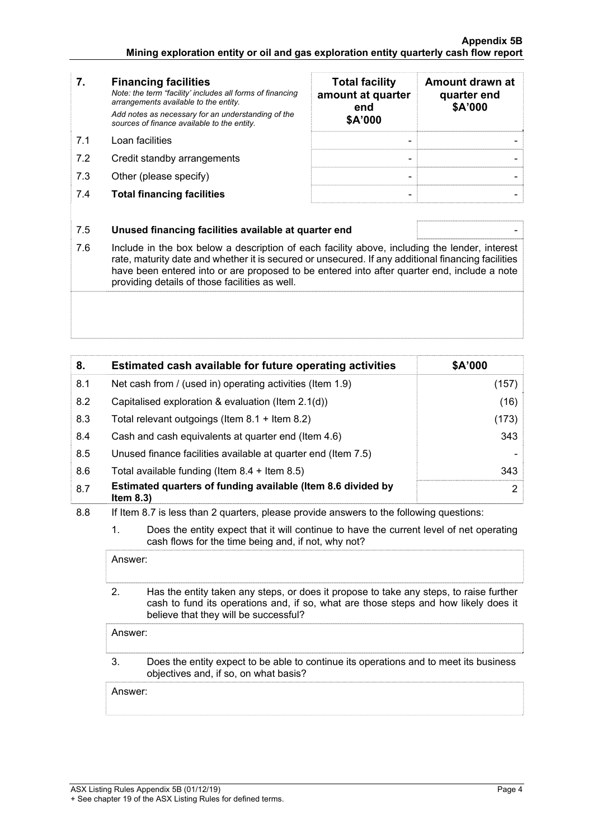- **7. Financing facilities** *Note: the term "facility' includes all forms of financing arrangements available to the entity. Add notes as necessary for an understanding of the sources of finance available to the entity.* 7.1 Loan facilities
- 7.2 Credit standby arrangements
- 7.3 Other (please specify)
- **7.4 Total financing facilities**

| <b>Total facility</b><br>amount at quarter<br>end<br>\$A'000 | Amount drawn at<br>quarter end<br>\$A'000 |
|--------------------------------------------------------------|-------------------------------------------|
|                                                              |                                           |
|                                                              |                                           |

### 7.5 **Unused financing facilities available at quarter end** -

7.6 Include in the box below a description of each facility above, including the lender, interest rate, maturity date and whether it is secured or unsecured. If any additional financing facilities have been entered into or are proposed to be entered into after quarter end, include a note providing details of those facilities as well.

| 8.  | Estimated cash available for future operating activities                     | \$A'000 |
|-----|------------------------------------------------------------------------------|---------|
| 8.1 | Net cash from / (used in) operating activities (Item 1.9)                    | (157)   |
| 8.2 | Capitalised exploration & evaluation (Item $2.1(d)$ )                        | (16)    |
| 8.3 | Total relevant outgoings (Item 8.1 + Item 8.2)                               | (173)   |
| 8.4 | Cash and cash equivalents at quarter end (Item 4.6)                          | 343     |
| 8.5 | Unused finance facilities available at quarter end (Item 7.5)                |         |
| 8.6 | Total available funding (Item $8.4 +$ Item $8.5$ )                           | 343     |
| 8.7 | Estimated quarters of funding available (Item 8.6 divided by<br>Item $8.3$ ) | 2       |

- 8.8 If Item 8.7 is less than 2 quarters, please provide answers to the following questions:
	- 1. Does the entity expect that it will continue to have the current level of net operating cash flows for the time being and, if not, why not?

Answer:

 2. Has the entity taken any steps, or does it propose to take any steps, to raise further cash to fund its operations and, if so, what are those steps and how likely does it believe that they will be successful?

Answer:

 3. Does the entity expect to be able to continue its operations and to meet its business objectives and, if so, on what basis?

Answer: